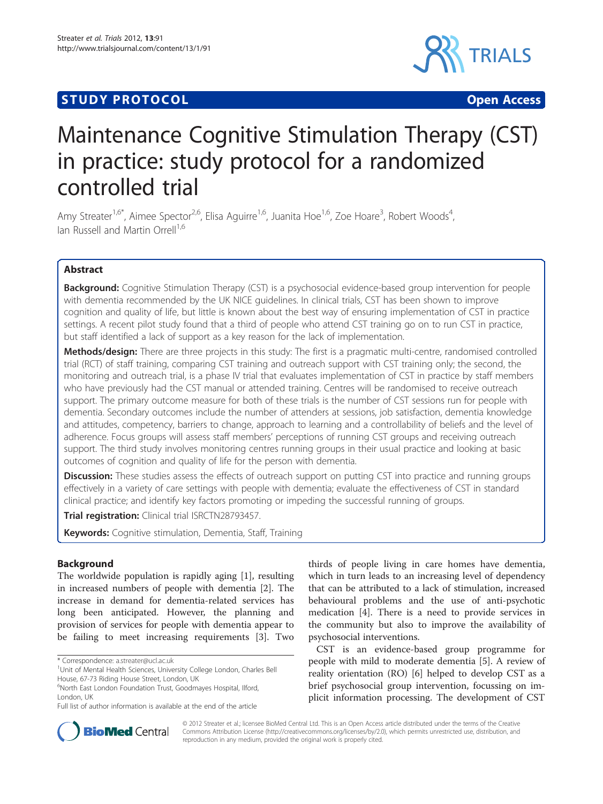# **STUDY PROTOCOL CONSUMING THE CONSUMING OPEN ACCESS**



# Maintenance Cognitive Stimulation Therapy (CST) in practice: study protocol for a randomized controlled trial

Amy Streater<sup>1,6\*</sup>, Aimee Spector<sup>2,6</sup>, Elisa Aguirre<sup>1,6</sup>, Juanita Hoe<sup>1,6</sup>, Zoe Hoare<sup>3</sup>, Robert Woods<sup>4</sup> , Ian Russell and Martin Orrell<sup>1,6</sup>

# Abstract

Background: Cognitive Stimulation Therapy (CST) is a psychosocial evidence-based group intervention for people with dementia recommended by the UK NICE guidelines. In clinical trials, CST has been shown to improve cognition and quality of life, but little is known about the best way of ensuring implementation of CST in practice settings. A recent pilot study found that a third of people who attend CST training go on to run CST in practice, but staff identified a lack of support as a key reason for the lack of implementation.

Methods/design: There are three projects in this study: The first is a pragmatic multi-centre, randomised controlled trial (RCT) of staff training, comparing CST training and outreach support with CST training only; the second, the monitoring and outreach trial, is a phase IV trial that evaluates implementation of CST in practice by staff members who have previously had the CST manual or attended training. Centres will be randomised to receive outreach support. The primary outcome measure for both of these trials is the number of CST sessions run for people with dementia. Secondary outcomes include the number of attenders at sessions, job satisfaction, dementia knowledge and attitudes, competency, barriers to change, approach to learning and a controllability of beliefs and the level of adherence. Focus groups will assess staff members' perceptions of running CST groups and receiving outreach support. The third study involves monitoring centres running groups in their usual practice and looking at basic outcomes of cognition and quality of life for the person with dementia.

**Discussion:** These studies assess the effects of outreach support on putting CST into practice and running groups effectively in a variety of care settings with people with dementia; evaluate the effectiveness of CST in standard clinical practice; and identify key factors promoting or impeding the successful running of groups.

Trial registration: Clinical trial ISRCTN28793457.

Keywords: Cognitive stimulation, Dementia, Staff, Training

# Background

The worldwide population is rapidly aging [[1\]](#page-9-0), resulting in increased numbers of people with dementia [\[2](#page-9-0)]. The increase in demand for dementia-related services has long been anticipated. However, the planning and provision of services for people with dementia appear to be failing to meet increasing requirements [[3\]](#page-9-0). Two

thirds of people living in care homes have dementia, which in turn leads to an increasing level of dependency that can be attributed to a lack of stimulation, increased behavioural problems and the use of anti-psychotic medication [[4\]](#page-9-0). There is a need to provide services in the community but also to improve the availability of psychosocial interventions.

CST is an evidence-based group programme for people with mild to moderate dementia [[5](#page-9-0)]. A review of reality orientation (RO) [[6\]](#page-9-0) helped to develop CST as a brief psychosocial group intervention, focussing on implicit information processing. The development of CST



© 2012 Streater et al.; licensee BioMed Central Ltd. This is an Open Access article distributed under the terms of the Creative Commons Attribution License [\(http://creativecommons.org/licenses/by/2.0\)](http://creativecommons.org/licenses/by/2.0), which permits unrestricted use, distribution, and reproduction in any medium, provided the original work is properly cited.

<sup>\*</sup> Correspondence: [a.streater@ucl.ac.uk](mailto:a.streater@ucl.ac.uk) <sup>1</sup>

<sup>&</sup>lt;sup>1</sup> Unit of Mental Health Sciences, University College London, Charles Bell House, 67-73 Riding House Street, London, UK

<sup>6</sup> North East London Foundation Trust, Goodmayes Hospital, Ilford, London, UK

Full list of author information is available at the end of the article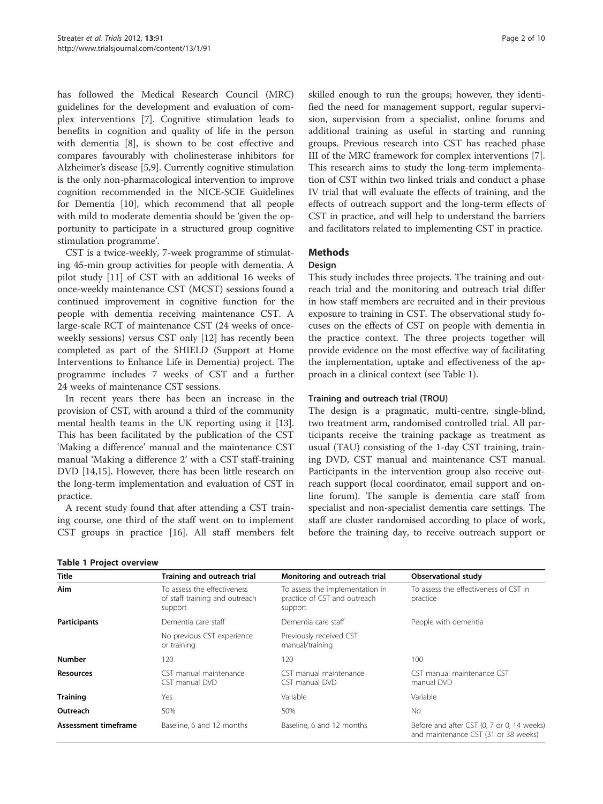has followed the Medical Research Council (MRC) guidelines for the development and evaluation of complex interventions [[7\]](#page-9-0). Cognitive stimulation leads to benefits in cognition and quality of life in the person with dementia [\[8](#page-9-0)], is shown to be cost effective and compares favourably with cholinesterase inhibitors for Alzheimer's disease [\[5,9\]](#page-9-0). Currently cognitive stimulation is the only non-pharmacological intervention to improve cognition recommended in the NICE-SCIE Guidelines for Dementia [\[10\]](#page-9-0), which recommend that all people with mild to moderate dementia should be 'given the opportunity to participate in a structured group cognitive stimulation programme'.

CST is a twice-weekly, 7-week programme of stimulating 45-min group activities for people with dementia. A pilot study [[11](#page-9-0)] of CST with an additional 16 weeks of once-weekly maintenance CST (MCST) sessions found a continued improvement in cognitive function for the people with dementia receiving maintenance CST. A large-scale RCT of maintenance CST (24 weeks of onceweekly sessions) versus CST only [[12\]](#page-9-0) has recently been completed as part of the SHIELD (Support at Home Interventions to Enhance Life in Dementia) project. The programme includes 7 weeks of CST and a further 24 weeks of maintenance CST sessions.

In recent years there has been an increase in the provision of CST, with around a third of the community mental health teams in the UK reporting using it [\[13](#page-9-0)]. This has been facilitated by the publication of the CST 'Making a difference' manual and the maintenance CST manual 'Making a difference 2' with a CST staff-training DVD [\[14,15](#page-9-0)]. However, there has been little research on the long-term implementation and evaluation of CST in practice.

A recent study found that after attending a CST training course, one third of the staff went on to implement CST groups in practice [\[16](#page-9-0)]. All staff members felt

|  |  |  | <b>Table 1 Project overview</b> |
|--|--|--|---------------------------------|
|--|--|--|---------------------------------|

skilled enough to run the groups; however, they identified the need for management support, regular supervision, supervision from a specialist, online forums and additional training as useful in starting and running groups. Previous research into CST has reached phase III of the MRC framework for complex interventions [\[7](#page-9-0)]. This research aims to study the long-term implementation of CST within two linked trials and conduct a phase IV trial that will evaluate the effects of training, and the effects of outreach support and the long-term effects of CST in practice, and will help to understand the barriers and facilitators related to implementing CST in practice.

# **Methods**

#### Design

This study includes three projects. The training and outreach trial and the monitoring and outreach trial differ in how staff members are recruited and in their previous exposure to training in CST. The observational study focuses on the effects of CST on people with dementia in the practice context. The three projects together will provide evidence on the most effective way of facilitating the implementation, uptake and effectiveness of the approach in a clinical context (see Table 1).

#### Training and outreach trial (TROU)

The design is a pragmatic, multi-centre, single-blind, two treatment arm, randomised controlled trial. All participants receive the training package as treatment as usual (TAU) consisting of the 1-day CST training, training DVD, CST manual and maintenance CST manual. Participants in the intervention group also receive outreach support (local coordinator, email support and online forum). The sample is dementia care staff from specialist and non-specialist dementia care settings. The staff are cluster randomised according to place of work, before the training day, to receive outreach support or

| <b>Title</b>         | Training and outreach trial                                              | Monitoring and outreach trial                                              | Observational study                                                                |
|----------------------|--------------------------------------------------------------------------|----------------------------------------------------------------------------|------------------------------------------------------------------------------------|
| Aim                  | To assess the effectiveness<br>of staff training and outreach<br>support | To assess the implementation in<br>practice of CST and outreach<br>support | To assess the effectiveness of CST in<br>practice                                  |
| Participants         | Dementia care staff                                                      | Dementia care staff                                                        | People with dementia                                                               |
|                      | No previous CST experience<br>or training                                | Previously received CST<br>manual/training                                 |                                                                                    |
| <b>Number</b>        | 120                                                                      | 120                                                                        | 100                                                                                |
| Resources            | CST manual maintenance<br>CST manual DVD                                 | CST manual maintenance<br>CST manual DVD                                   | CST manual maintenance CST<br>manual DVD                                           |
| <b>Training</b>      | Yes                                                                      | Variable                                                                   | Variable                                                                           |
| Outreach             | 50%                                                                      | 50%                                                                        | <b>No</b>                                                                          |
| Assessment timeframe | Baseline, 6 and 12 months                                                | Baseline, 6 and 12 months                                                  | Before and after CST (0, 7 or 0, 14 weeks)<br>and maintenance CST (31 or 38 weeks) |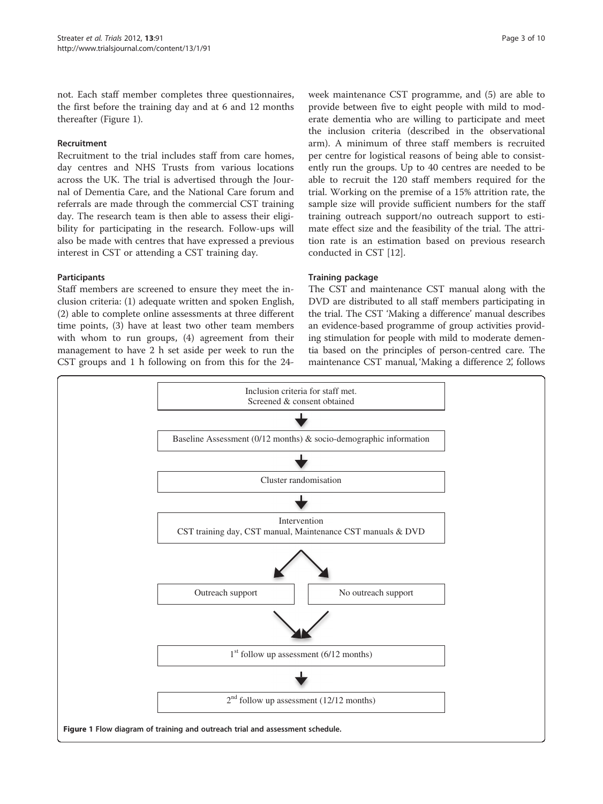not. Each staff member completes three questionnaires, the first before the training day and at 6 and 12 months thereafter (Figure 1).

#### Recruitment

Recruitment to the trial includes staff from care homes, day centres and NHS Trusts from various locations across the UK. The trial is advertised through the Journal of Dementia Care, and the National Care forum and referrals are made through the commercial CST training day. The research team is then able to assess their eligibility for participating in the research. Follow-ups will also be made with centres that have expressed a previous interest in CST or attending a CST training day.

#### Participants

Staff members are screened to ensure they meet the inclusion criteria: (1) adequate written and spoken English, (2) able to complete online assessments at three different time points, (3) have at least two other team members with whom to run groups, (4) agreement from their management to have 2 h set aside per week to run the CST groups and 1 h following on from this for the 24-

week maintenance CST programme, and (5) are able to provide between five to eight people with mild to moderate dementia who are willing to participate and meet the inclusion criteria (described in the observational arm). A minimum of three staff members is recruited per centre for logistical reasons of being able to consistently run the groups. Up to 40 centres are needed to be able to recruit the 120 staff members required for the trial. Working on the premise of a 15% attrition rate, the sample size will provide sufficient numbers for the staff training outreach support/no outreach support to estimate effect size and the feasibility of the trial. The attrition rate is an estimation based on previous research conducted in CST [[12](#page-9-0)].

#### Training package

The CST and maintenance CST manual along with the DVD are distributed to all staff members participating in the trial. The CST 'Making a difference' manual describes an evidence-based programme of group activities providing stimulation for people with mild to moderate dementia based on the principles of person-centred care. The maintenance CST manual, 'Making a difference 2', follows

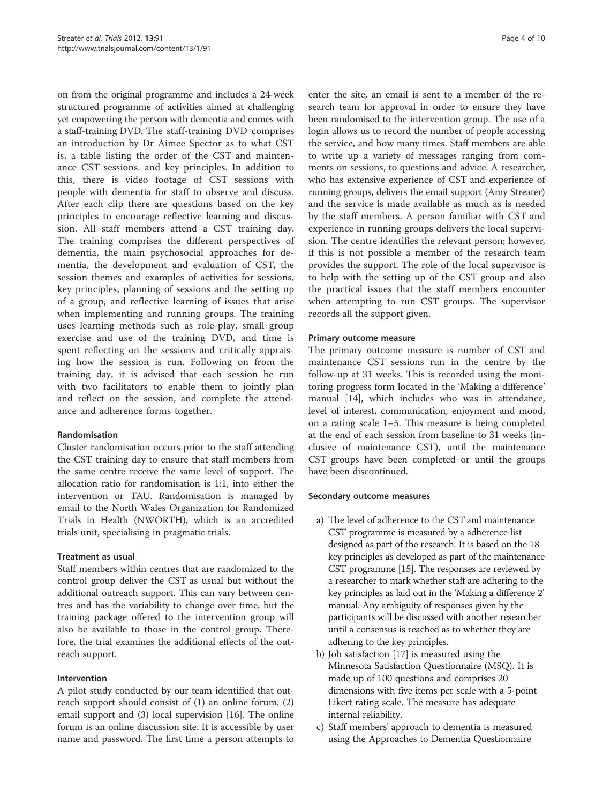on from the original programme and includes a 24-week structured programme of activities aimed at challenging yet empowering the person with dementia and comes with a staff-training DVD. The staff-training DVD comprises an introduction by Dr Aimee Spector as to what CST is, a table listing the order of the CST and maintenance CST sessions. and key principles. In addition to this, there is video footage of CST sessions with people with dementia for staff to observe and discuss. After each clip there are questions based on the key principles to encourage reflective learning and discussion. All staff members attend a CST training day. The training comprises the different perspectives of dementia, the main psychosocial approaches for dementia, the development and evaluation of CST, the session themes and examples of activities for sessions, key principles, planning of sessions and the setting up of a group, and reflective learning of issues that arise when implementing and running groups. The training uses learning methods such as role-play, small group exercise and use of the training DVD, and time is spent reflecting on the sessions and critically appraising how the session is run. Following on from the training day, it is advised that each session be run with two facilitators to enable them to jointly plan and reflect on the session, and complete the attendance and adherence forms together.

# Randomisation

Cluster randomisation occurs prior to the staff attending the CST training day to ensure that staff members from the same centre receive the same level of support. The allocation ratio for randomisation is 1:1, into either the intervention or TAU. Randomisation is managed by email to the North Wales Organization for Randomized Trials in Health (NWORTH), which is an accredited trials unit, specialising in pragmatic trials.

#### Treatment as usual

Staff members within centres that are randomized to the control group deliver the CST as usual but without the additional outreach support. This can vary between centres and has the variability to change over time, but the training package offered to the intervention group will also be available to those in the control group. Therefore, the trial examines the additional effects of the outreach support.

#### Intervention

A pilot study conducted by our team identified that outreach support should consist of (1) an online forum, (2) email support and (3) local supervision [[16\]](#page-9-0). The online forum is an online discussion site. It is accessible by user name and password. The first time a person attempts to

enter the site, an email is sent to a member of the research team for approval in order to ensure they have been randomised to the intervention group. The use of a login allows us to record the number of people accessing the service, and how many times. Staff members are able to write up a variety of messages ranging from comments on sessions, to questions and advice. A researcher, who has extensive experience of CST and experience of running groups, delivers the email support (Amy Streater) and the service is made available as much as is needed by the staff members. A person familiar with CST and experience in running groups delivers the local supervision. The centre identifies the relevant person; however, if this is not possible a member of the research team provides the support. The role of the local supervisor is to help with the setting up of the CST group and also the practical issues that the staff members encounter when attempting to run CST groups. The supervisor records all the support given.

#### Primary outcome measure

The primary outcome measure is number of CST and maintenance CST sessions run in the centre by the follow-up at 31 weeks. This is recorded using the monitoring progress form located in the 'Making a difference' manual [[14\]](#page-9-0), which includes who was in attendance, level of interest, communication, enjoyment and mood, on a rating scale 1–5. This measure is being completed at the end of each session from baseline to 31 weeks (inclusive of maintenance CST), until the maintenance CST groups have been completed or until the groups have been discontinued.

#### Secondary outcome measures

- a) The level of adherence to the CST and maintenance CST programme is measured by a adherence list designed as part of the research. It is based on the 18 key principles as developed as part of the maintenance CST programme [\[15\]](#page-9-0). The responses are reviewed by a researcher to mark whether staff are adhering to the key principles as laid out in the 'Making a difference 2' manual. Any ambiguity of responses given by the participants will be discussed with another researcher until a consensus is reached as to whether they are adhering to the key principles.
- b) Job satisfaction [\[17\]](#page-9-0) is measured using the Minnesota Satisfaction Questionnaire (MSQ). It is made up of 100 questions and comprises 20 dimensions with five items per scale with a 5-point Likert rating scale. The measure has adequate internal reliability.
- c) Staff members' approach to dementia is measured using the Approaches to Dementia Questionnaire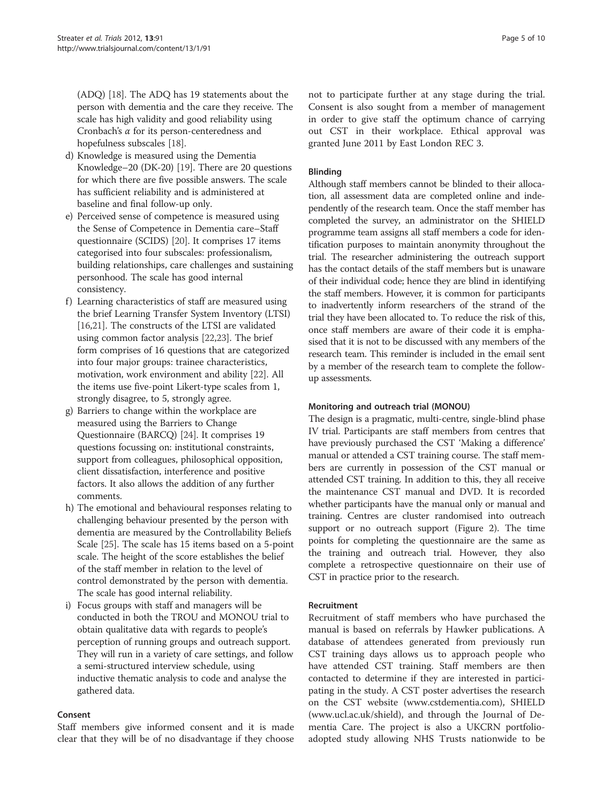(ADQ) [\[18\]](#page-9-0). The ADQ has 19 statements about the person with dementia and the care they receive. The scale has high validity and good reliability using Cronbach's  $\alpha$  for its person-centeredness and hopefulness subscales [\[18\]](#page-9-0).

- d) Knowledge is measured using the Dementia Knowledge–20 (DK-20) [[19\]](#page-9-0). There are 20 questions for which there are five possible answers. The scale has sufficient reliability and is administered at baseline and final follow-up only.
- e) Perceived sense of competence is measured using the Sense of Competence in Dementia care–Staff questionnaire (SCIDS) [[20](#page-9-0)]. It comprises 17 items categorised into four subscales: professionalism, building relationships, care challenges and sustaining personhood. The scale has good internal consistency.
- f) Learning characteristics of staff are measured using the brief Learning Transfer System Inventory (LTSI) [\[16,21\]](#page-9-0). The constructs of the LTSI are validated using common factor analysis [\[22,23\]](#page-9-0). The brief form comprises of 16 questions that are categorized into four major groups: trainee characteristics, motivation, work environment and ability [[22](#page-9-0)]. All the items use five-point Likert-type scales from 1, strongly disagree, to 5, strongly agree.
- g) Barriers to change within the workplace are measured using the Barriers to Change Questionnaire (BARCQ) [\[24\]](#page-9-0). It comprises 19 questions focussing on: institutional constraints, support from colleagues, philosophical opposition, client dissatisfaction, interference and positive factors. It also allows the addition of any further comments.
- h) The emotional and behavioural responses relating to challenging behaviour presented by the person with dementia are measured by the Controllability Beliefs Scale [[25](#page-9-0)]. The scale has 15 items based on a 5-point scale. The height of the score establishes the belief of the staff member in relation to the level of control demonstrated by the person with dementia. The scale has good internal reliability.
- i) Focus groups with staff and managers will be conducted in both the TROU and MONOU trial to obtain qualitative data with regards to people's perception of running groups and outreach support. They will run in a variety of care settings, and follow a semi-structured interview schedule, using inductive thematic analysis to code and analyse the gathered data.

# Consent

Staff members give informed consent and it is made clear that they will be of no disadvantage if they choose not to participate further at any stage during the trial. Consent is also sought from a member of management in order to give staff the optimum chance of carrying out CST in their workplace. Ethical approval was granted June 2011 by East London REC 3.

# Blinding

Although staff members cannot be blinded to their allocation, all assessment data are completed online and independently of the research team. Once the staff member has completed the survey, an administrator on the SHIELD programme team assigns all staff members a code for identification purposes to maintain anonymity throughout the trial. The researcher administering the outreach support has the contact details of the staff members but is unaware of their individual code; hence they are blind in identifying the staff members. However, it is common for participants to inadvertently inform researchers of the strand of the trial they have been allocated to. To reduce the risk of this, once staff members are aware of their code it is emphasised that it is not to be discussed with any members of the research team. This reminder is included in the email sent by a member of the research team to complete the followup assessments.

# Monitoring and outreach trial (MONOU)

The design is a pragmatic, multi-centre, single-blind phase IV trial. Participants are staff members from centres that have previously purchased the CST 'Making a difference' manual or attended a CST training course. The staff members are currently in possession of the CST manual or attended CST training. In addition to this, they all receive the maintenance CST manual and DVD. It is recorded whether participants have the manual only or manual and training. Centres are cluster randomised into outreach support or no outreach support (Figure [2](#page-5-0)). The time points for completing the questionnaire are the same as the training and outreach trial. However, they also complete a retrospective questionnaire on their use of CST in practice prior to the research.

# Recruitment

Recruitment of staff members who have purchased the manual is based on referrals by Hawker publications. A database of attendees generated from previously run CST training days allows us to approach people who have attended CST training. Staff members are then contacted to determine if they are interested in participating in the study. A CST poster advertises the research on the CST website ([www.cstdementia.com\)](http://www.cstdementia.com), SHIELD ([www.ucl.ac.uk/shield\)](http://www.ucl.ac.uk/shield), and through the Journal of Dementia Care. The project is also a UKCRN portfolioadopted study allowing NHS Trusts nationwide to be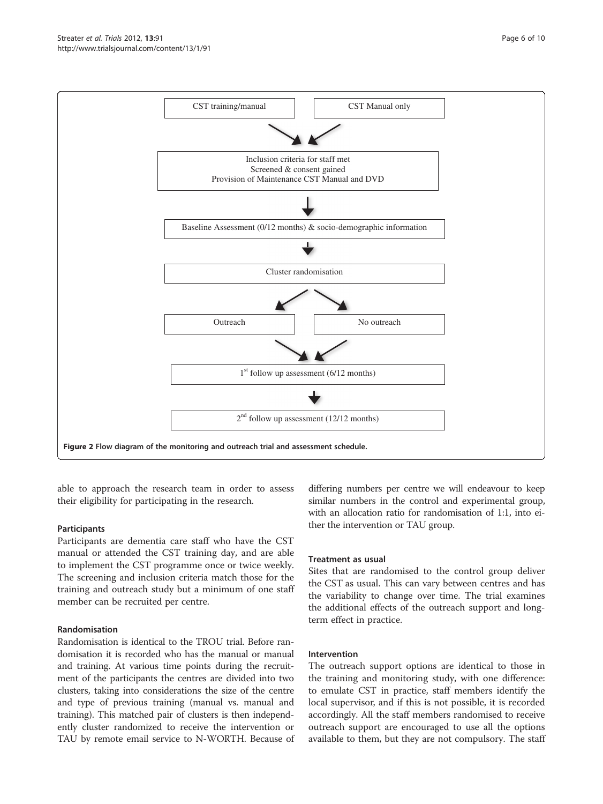<span id="page-5-0"></span>

able to approach the research team in order to assess their eligibility for participating in the research.

#### Participants

Participants are dementia care staff who have the CST manual or attended the CST training day, and are able to implement the CST programme once or twice weekly. The screening and inclusion criteria match those for the training and outreach study but a minimum of one staff member can be recruited per centre.

#### Randomisation

Randomisation is identical to the TROU trial. Before randomisation it is recorded who has the manual or manual and training. At various time points during the recruitment of the participants the centres are divided into two clusters, taking into considerations the size of the centre and type of previous training (manual vs. manual and training). This matched pair of clusters is then independently cluster randomized to receive the intervention or TAU by remote email service to N-WORTH. Because of

differing numbers per centre we will endeavour to keep similar numbers in the control and experimental group, with an allocation ratio for randomisation of 1:1, into either the intervention or TAU group.

#### Treatment as usual

Sites that are randomised to the control group deliver the CST as usual. This can vary between centres and has the variability to change over time. The trial examines the additional effects of the outreach support and longterm effect in practice.

# Intervention

The outreach support options are identical to those in the training and monitoring study, with one difference: to emulate CST in practice, staff members identify the local supervisor, and if this is not possible, it is recorded accordingly. All the staff members randomised to receive outreach support are encouraged to use all the options available to them, but they are not compulsory. The staff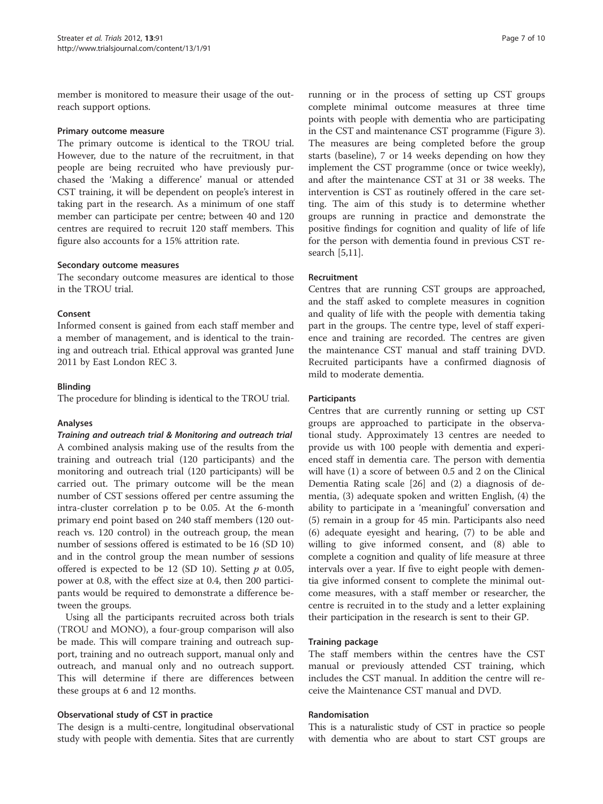member is monitored to measure their usage of the outreach support options.

#### Primary outcome measure

The primary outcome is identical to the TROU trial. However, due to the nature of the recruitment, in that people are being recruited who have previously purchased the 'Making a difference' manual or attended CST training, it will be dependent on people's interest in taking part in the research. As a minimum of one staff member can participate per centre; between 40 and 120 centres are required to recruit 120 staff members. This figure also accounts for a 15% attrition rate.

#### Secondary outcome measures

The secondary outcome measures are identical to those in the TROU trial.

#### Consent

Informed consent is gained from each staff member and a member of management, and is identical to the training and outreach trial. Ethical approval was granted June 2011 by East London REC 3.

#### Blinding

The procedure for blinding is identical to the TROU trial.

#### Analyses

Training and outreach trial & Monitoring and outreach trial A combined analysis making use of the results from the training and outreach trial (120 participants) and the monitoring and outreach trial (120 participants) will be carried out. The primary outcome will be the mean number of CST sessions offered per centre assuming the intra-cluster correlation p to be 0.05. At the 6-month primary end point based on 240 staff members (120 outreach vs. 120 control) in the outreach group, the mean number of sessions offered is estimated to be 16 (SD 10) and in the control group the mean number of sessions offered is expected to be 12 (SD 10). Setting  $p$  at 0.05, power at 0.8, with the effect size at 0.4, then 200 participants would be required to demonstrate a difference between the groups.

Using all the participants recruited across both trials (TROU and MONO), a four-group comparison will also be made. This will compare training and outreach support, training and no outreach support, manual only and outreach, and manual only and no outreach support. This will determine if there are differences between these groups at 6 and 12 months.

#### Observational study of CST in practice

The design is a multi-centre, longitudinal observational study with people with dementia. Sites that are currently

running or in the process of setting up CST groups complete minimal outcome measures at three time points with people with dementia who are participating in the CST and maintenance CST programme (Figure [3](#page-7-0)). The measures are being completed before the group starts (baseline), 7 or 14 weeks depending on how they implement the CST programme (once or twice weekly), and after the maintenance CST at 31 or 38 weeks. The intervention is CST as routinely offered in the care setting. The aim of this study is to determine whether groups are running in practice and demonstrate the positive findings for cognition and quality of life of life for the person with dementia found in previous CST research [[5,11\]](#page-9-0).

#### Recruitment

Centres that are running CST groups are approached, and the staff asked to complete measures in cognition and quality of life with the people with dementia taking part in the groups. The centre type, level of staff experience and training are recorded. The centres are given the maintenance CST manual and staff training DVD. Recruited participants have a confirmed diagnosis of mild to moderate dementia.

#### **Participants**

Centres that are currently running or setting up CST groups are approached to participate in the observational study. Approximately 13 centres are needed to provide us with 100 people with dementia and experienced staff in dementia care. The person with dementia will have (1) a score of between 0.5 and 2 on the Clinical Dementia Rating scale [[26\]](#page-9-0) and (2) a diagnosis of dementia, (3) adequate spoken and written English, (4) the ability to participate in a 'meaningful' conversation and (5) remain in a group for 45 min. Participants also need (6) adequate eyesight and hearing, (7) to be able and willing to give informed consent, and (8) able to complete a cognition and quality of life measure at three intervals over a year. If five to eight people with dementia give informed consent to complete the minimal outcome measures, with a staff member or researcher, the centre is recruited in to the study and a letter explaining their participation in the research is sent to their GP.

#### Training package

The staff members within the centres have the CST manual or previously attended CST training, which includes the CST manual. In addition the centre will receive the Maintenance CST manual and DVD.

#### Randomisation

This is a naturalistic study of CST in practice so people with dementia who are about to start CST groups are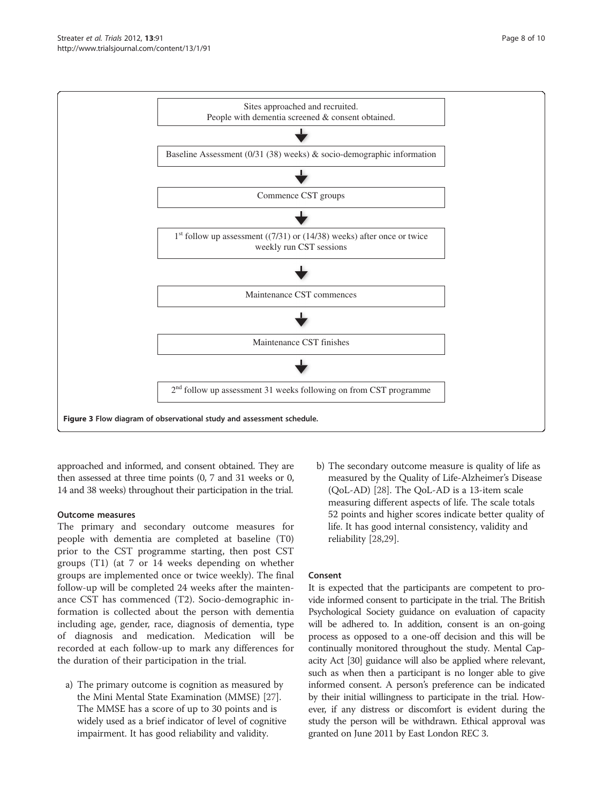<span id="page-7-0"></span>

approached and informed, and consent obtained. They are then assessed at three time points (0, 7 and 31 weeks or 0, 14 and 38 weeks) throughout their participation in the trial.

#### Outcome measures

The primary and secondary outcome measures for people with dementia are completed at baseline (T0) prior to the CST programme starting, then post CST groups (T1) (at 7 or 14 weeks depending on whether groups are implemented once or twice weekly). The final follow-up will be completed 24 weeks after the maintenance CST has commenced (T2). Socio-demographic information is collected about the person with dementia including age, gender, race, diagnosis of dementia, type of diagnosis and medication. Medication will be recorded at each follow-up to mark any differences for the duration of their participation in the trial.

a) The primary outcome is cognition as measured by the Mini Mental State Examination (MMSE) [\[27\]](#page-9-0). The MMSE has a score of up to 30 points and is widely used as a brief indicator of level of cognitive impairment. It has good reliability and validity.

b) The secondary outcome measure is quality of life as measured by the Quality of Life-Alzheimer's Disease (QoL-AD) [\[28\]](#page-9-0). The QoL-AD is a 13-item scale measuring different aspects of life. The scale totals 52 points and higher scores indicate better quality of life. It has good internal consistency, validity and reliability [[28,29\]](#page-9-0).

# Consent

It is expected that the participants are competent to provide informed consent to participate in the trial. The British Psychological Society guidance on evaluation of capacity will be adhered to. In addition, consent is an on-going process as opposed to a one-off decision and this will be continually monitored throughout the study. Mental Capacity Act [\[30](#page-9-0)] guidance will also be applied where relevant, such as when then a participant is no longer able to give informed consent. A person's preference can be indicated by their initial willingness to participate in the trial. However, if any distress or discomfort is evident during the study the person will be withdrawn. Ethical approval was granted on June 2011 by East London REC 3.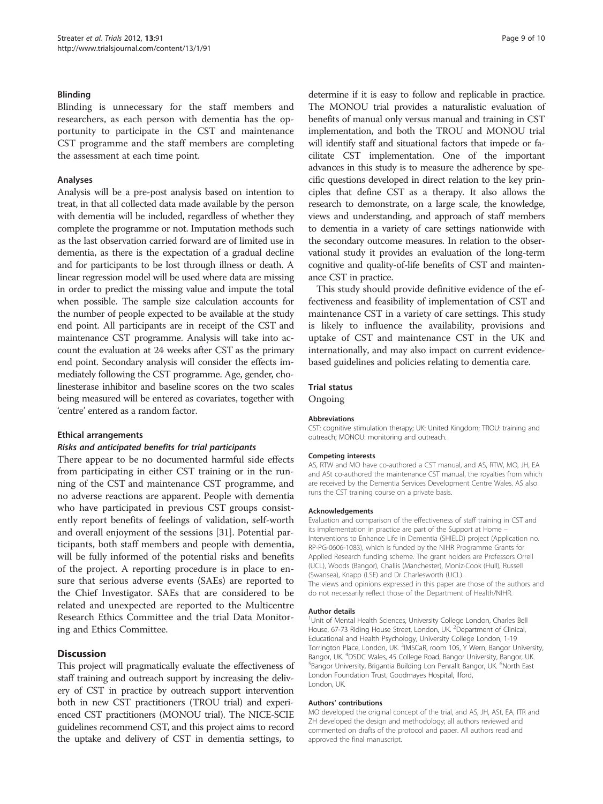#### Blinding

Blinding is unnecessary for the staff members and researchers, as each person with dementia has the opportunity to participate in the CST and maintenance CST programme and the staff members are completing the assessment at each time point.

#### Analyses

Analysis will be a pre-post analysis based on intention to treat, in that all collected data made available by the person with dementia will be included, regardless of whether they complete the programme or not. Imputation methods such as the last observation carried forward are of limited use in dementia, as there is the expectation of a gradual decline and for participants to be lost through illness or death. A linear regression model will be used where data are missing in order to predict the missing value and impute the total when possible. The sample size calculation accounts for the number of people expected to be available at the study end point. All participants are in receipt of the CST and maintenance CST programme. Analysis will take into account the evaluation at 24 weeks after CST as the primary end point. Secondary analysis will consider the effects immediately following the CST programme. Age, gender, cholinesterase inhibitor and baseline scores on the two scales being measured will be entered as covariates, together with 'centre' entered as a random factor.

#### Ethical arrangements

#### Risks and anticipated benefits for trial participants

There appear to be no documented harmful side effects from participating in either CST training or in the running of the CST and maintenance CST programme, and no adverse reactions are apparent. People with dementia who have participated in previous CST groups consistently report benefits of feelings of validation, self-worth and overall enjoyment of the sessions [\[31](#page-9-0)]. Potential participants, both staff members and people with dementia, will be fully informed of the potential risks and benefits of the project. A reporting procedure is in place to ensure that serious adverse events (SAEs) are reported to the Chief Investigator. SAEs that are considered to be related and unexpected are reported to the Multicentre Research Ethics Committee and the trial Data Monitoring and Ethics Committee.

#### **Discussion**

This project will pragmatically evaluate the effectiveness of staff training and outreach support by increasing the delivery of CST in practice by outreach support intervention both in new CST practitioners (TROU trial) and experienced CST practitioners (MONOU trial). The NICE-SCIE guidelines recommend CST, and this project aims to record the uptake and delivery of CST in dementia settings, to determine if it is easy to follow and replicable in practice. The MONOU trial provides a naturalistic evaluation of benefits of manual only versus manual and training in CST implementation, and both the TROU and MONOU trial will identify staff and situational factors that impede or facilitate CST implementation. One of the important advances in this study is to measure the adherence by specific questions developed in direct relation to the key principles that define CST as a therapy. It also allows the research to demonstrate, on a large scale, the knowledge, views and understanding, and approach of staff members to dementia in a variety of care settings nationwide with the secondary outcome measures. In relation to the observational study it provides an evaluation of the long-term cognitive and quality-of-life benefits of CST and maintenance CST in practice.

This study should provide definitive evidence of the effectiveness and feasibility of implementation of CST and maintenance CST in a variety of care settings. This study is likely to influence the availability, provisions and uptake of CST and maintenance CST in the UK and internationally, and may also impact on current evidencebased guidelines and policies relating to dementia care.

#### Trial status

Ongoing

#### Abbreviations

CST: cognitive stimulation therapy; UK: United Kingdom; TROU: training and outreach; MONOU: monitoring and outreach.

#### Competing interests

AS, RTW and MO have co-authored a CST manual, and AS, RTW, MO, JH, EA and ASt co-authored the maintenance CST manual, the royalties from which are received by the Dementia Services Development Centre Wales. AS also runs the CST training course on a private basis.

#### Acknowledgements

Evaluation and comparison of the effectiveness of staff training in CST and its implementation in practice are part of the Support at Home – Interventions to Enhance Life in Dementia (SHIELD) project (Application no. RP-PG-0606-1083), which is funded by the NIHR Programme Grants for Applied Research funding scheme. The grant holders are Professors Orrell (UCL), Woods (Bangor), Challis (Manchester), Moniz-Cook (Hull), Russell (Swansea), Knapp (LSE) and Dr Charlesworth (UCL).

The views and opinions expressed in this paper are those of the authors and do not necessarily reflect those of the Department of Health/NIHR.

#### Author details

<sup>1</sup>Unit of Mental Health Sciences, University College London, Charles Bell House, 67-73 Riding House Street, London, UK.<sup>2</sup> Department of Clinical Educational and Health Psychology, University College London, 1-19 Torrington Place, London, UK. <sup>3</sup>IMSCaR, room 105, Y Wern, Bangor University Bangor, UK. <sup>4</sup>DSDC Wales, 45 College Road, Bangor University, Bangor, UK.<br><sup>5</sup>Bangor University, Brigantia Building Lop Popsellt Bangor, UK. <sup>6</sup>North East Bangor University, Brigantia Building Lon Penrallt Bangor, UK. <sup>6</sup>North East London Foundation Trust, Goodmayes Hospital, Ilford, London, UK.

#### Authors' contributions

MO developed the original concept of the trial, and AS, JH, ASt, EA, ITR and ZH developed the design and methodology; all authors reviewed and commented on drafts of the protocol and paper. All authors read and approved the final manuscript.